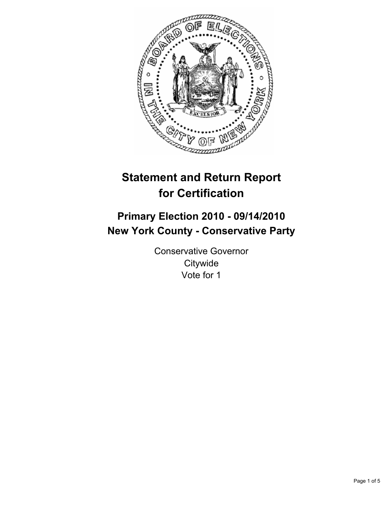

# **Statement and Return Report for Certification**

# **Primary Election 2010 - 09/14/2010 New York County - Conservative Party**

Conservative Governor **Citywide** Vote for 1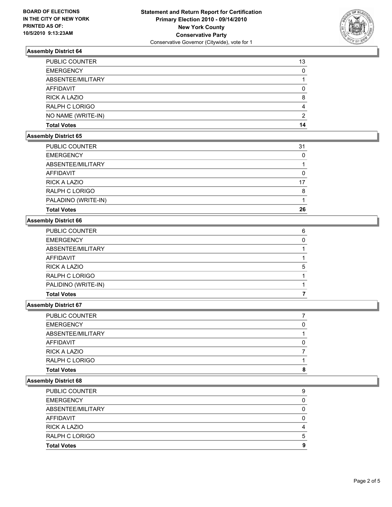

# **Assembly District 64**

| <b>PUBLIC COUNTER</b> | 13 |
|-----------------------|----|
| <b>EMERGENCY</b>      | 0  |
| ABSENTEE/MILITARY     |    |
| <b>AFFIDAVIT</b>      |    |
| <b>RICK A LAZIO</b>   | 8  |
| <b>RALPH C LORIGO</b> | 4  |
| NO NAME (WRITE-IN)    | 2  |
| <b>Total Votes</b>    | 14 |

# **Assembly District 65**

| PALADINO (WRITE-IN) | 26 |
|---------------------|----|
| RALPH C LORIGO      | 8  |
| <b>RICK A LAZIO</b> | 17 |
| <b>AFFIDAVIT</b>    | 0  |
| ABSENTEE/MILITARY   |    |
| <b>EMERGENCY</b>    | 0  |
| PUBLIC COUNTER      | 31 |

# **Assembly District 66**

| <b>Total Votes</b>    |   |
|-----------------------|---|
| PALIDINO (WRITE-IN)   |   |
| RALPH C LORIGO        |   |
| <b>RICK A LAZIO</b>   | 5 |
| <b>AFFIDAVIT</b>      |   |
| ABSENTEE/MILITARY     |   |
| <b>EMERGENCY</b>      | 0 |
| <b>PUBLIC COUNTER</b> | 6 |

### **Assembly District 67**

| <b>Total Votes</b> | 8 |
|--------------------|---|
| RALPH C LORIGO     |   |
| RICK A LAZIO       |   |
| <b>AFFIDAVIT</b>   |   |
| ABSENTEE/MILITARY  |   |
| <b>EMERGENCY</b>   | 0 |
| PUBLIC COUNTER     |   |

#### **Assembly District 68**

| <b>Total Votes</b>    | 9 |
|-----------------------|---|
| RALPH C LORIGO        | 5 |
| <b>RICK A LAZIO</b>   | 4 |
| AFFIDAVIT             |   |
| ABSENTEE/MILITARY     | 0 |
| <b>EMERGENCY</b>      | 0 |
| <b>PUBLIC COUNTER</b> | 9 |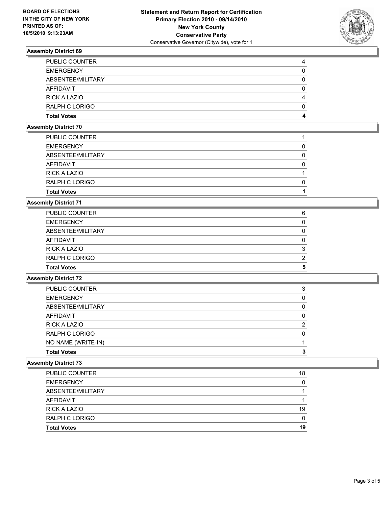

# **Assembly District 69**

| <b>Total Votes</b>    | 4 |
|-----------------------|---|
| RALPH C LORIGO        | 0 |
| <b>RICK A LAZIO</b>   | 4 |
| AFFIDAVIT             | 0 |
| ABSENTEE/MILITARY     | 0 |
| <b>EMERGENCY</b>      | 0 |
| <b>PUBLIC COUNTER</b> | 4 |

#### **Assembly District 70**

| 0 |
|---|
|   |
|   |
|   |

# **Assembly District 71**

| 5 |
|---|
| 2 |
| 3 |
| 0 |
| 0 |
|   |
| 6 |
|   |

# **Assembly District 72**

| <b>Total Votes</b>    |   |
|-----------------------|---|
| NO NAME (WRITE-IN)    |   |
| RALPH C LORIGO        | 0 |
| RICK A LAZIO          | 2 |
| AFFIDAVIT             |   |
| ABSENTEE/MILITARY     | 0 |
| <b>EMERGENCY</b>      | 0 |
| <b>PUBLIC COUNTER</b> | 3 |

# **Assembly District 73**

| <b>PUBLIC COUNTER</b> | 18 |
|-----------------------|----|
| <b>EMERGENCY</b>      | 0  |
| ABSENTEE/MILITARY     |    |
| AFFIDAVIT             |    |
| RICK A LAZIO          | 19 |
| RALPH C LORIGO        | 0  |
| <b>Total Votes</b>    | 19 |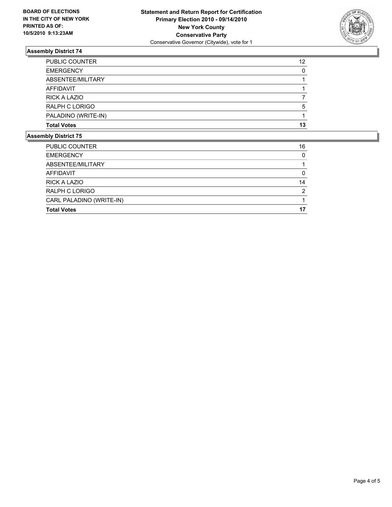

# **Assembly District 74**

| <b>Assembly District 75</b> |    |
|-----------------------------|----|
| <b>Total Votes</b>          | 13 |
| PALADINO (WRITE-IN)         |    |
| RALPH C LORIGO              | 5  |
| RICK A LAZIO                |    |
| AFFIDAVIT                   |    |
| ABSENTEE/MILITARY           |    |
| <b>EMERGENCY</b>            | 0  |
| <b>PUBLIC COUNTER</b>       | 12 |

| <b>Total Votes</b>       | 17       |
|--------------------------|----------|
| CARL PALADINO (WRITE-IN) |          |
| <b>RALPH C LORIGO</b>    | 2        |
| RICK A LAZIO             | 14       |
| AFFIDAVIT                | 0        |
| ABSENTEE/MILITARY        |          |
| <b>EMERGENCY</b>         | $\Omega$ |
| <b>PUBLIC COUNTER</b>    | 16       |